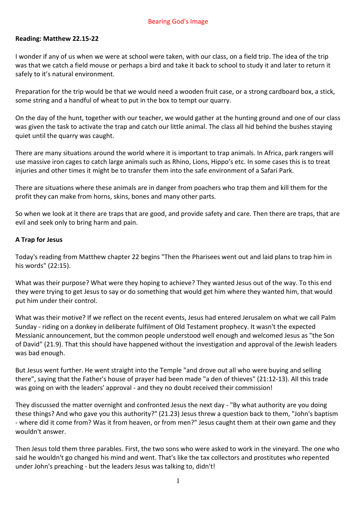#### Bearing God's Image

### **Reading: Matthew 22.15-22**

I wonder if any of us when we were at school were taken, with our class, on a field trip. The idea of the trip was that we catch a field mouse or perhaps a bird and take it back to school to study it and later to return it safely to it's natural environment.

Preparation for the trip would be that we would need a wooden fruit case, or a strong cardboard box, a stick, some string and a handful of wheat to put in the box to tempt our quarry.

On the day of the hunt, together with our teacher, we would gather at the hunting ground and one of our class was given the task to activate the trap and catch our little animal. The class all hid behind the bushes staying quiet until the quarry was caught.

There are many situations around the world where it is important to trap animals. In Africa, park rangers will use massive iron cages to catch large animals such as Rhino, Lions, Hippo's etc. In some cases this is to treat injuries and other times it might be to transfer them into the safe environment of a Safari Park.

There are situations where these animals are in danger from poachers who trap them and kill them for the profit they can make from horns, skins, bones and many other parts.

So when we look at it there are traps that are good, and provide safety and care. Then there are traps, that are evil and seek only to bring harm and pain.

### **A Trap for Jesus**

Today's reading from Matthew chapter 22 begins "Then the Pharisees went out and laid plans to trap him in his words" (22:15).

What was their purpose? What were they hoping to achieve? They wanted Jesus out of the way. To this end they were trying to get Jesus to say or do something that would get him where they wanted him, that would put him under their control.

What was their motive? If we reflect on the recent events, Jesus had entered Jerusalem on what we call Palm Sunday - riding on a donkey in deliberate fulfilment of Old Testament prophecy. It wasn't the expected Messianic announcement, but the common people understood well enough and welcomed Jesus as "the Son of David" (21.9). That this should have happened without the investigation and approval of the Jewish leaders was bad enough.

But Jesus went further. He went straight into the Temple "and drove out all who were buying and selling there", saying that the Father's house of prayer had been made "a den of thieves" (21:12-13). All this trade was going on with the leaders' approval - and they no doubt received their commission!

They discussed the matter overnight and confronted Jesus the next day - "By what authority are you doing these things? And who gave you this authority?" (21.23) Jesus threw a question back to them, "John's baptism - where did it come from? Was it from heaven, or from men?" Jesus caught them at their own game and they wouldn't answer.

Then Jesus told them three parables. First, the two sons who were asked to work in the vineyard. The one who said he wouldn't go changed his mind and went. That's like the tax collectors and prostitutes who repented under John's preaching - but the leaders Jesus was talking to, didn't!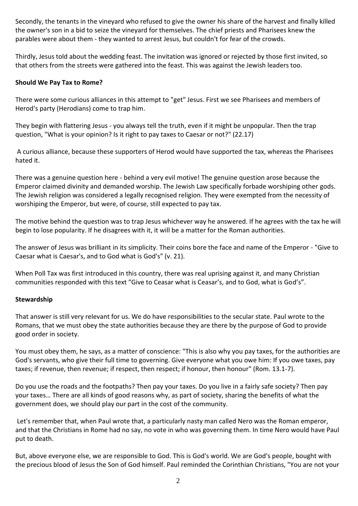Secondly, the tenants in the vineyard who refused to give the owner his share of the harvest and finally killed the owner's son in a bid to seize the vineyard for themselves. The chief priests and Pharisees knew the parables were about them - they wanted to arrest Jesus, but couldn't for fear of the crowds.

Thirdly, Jesus told about the wedding feast. The invitation was ignored or rejected by those first invited, so that others from the streets were gathered into the feast. This was against the Jewish leaders too.

## **Should We Pay Tax to Rome?**

There were some curious alliances in this attempt to "get" Jesus. First we see Pharisees and members of Herod's party (Herodians) come to trap him.

They begin with flattering Jesus - you always tell the truth, even if it might be unpopular. Then the trap question, "What is your opinion? Is it right to pay taxes to Caesar or not?" (22.17)

A curious alliance, because these supporters of Herod would have supported the tax, whereas the Pharisees hated it.

There was a genuine question here - behind a very evil motive! The genuine question arose because the Emperor claimed divinity and demanded worship. The Jewish Law specifically forbade worshiping other gods. The Jewish religion was considered a legally recognised religion. They were exempted from the necessity of worshiping the Emperor, but were, of course, still expected to pay tax.

The motive behind the question was to trap Jesus whichever way he answered. If he agrees with the tax he will begin to lose popularity. If he disagrees with it, it will be a matter for the Roman authorities.

The answer of Jesus was brilliant in its simplicity. Their coins bore the face and name of the Emperor - "Give to Caesar what is Caesar's, and to God what is God's" (v. 21).

When Poll Tax was first introduced in this country, there was real uprising against it, and many Christian communities responded with this text "Give to Ceasar what is Ceasar's, and to God, what is God's".

# **Stewardship**

That answer is still very relevant for us. We do have responsibilities to the secular state. Paul wrote to the Romans, that we must obey the state authorities because they are there by the purpose of God to provide good order in society.

You must obey them, he says, as a matter of conscience: "This is also why you pay taxes, for the authorities are God's servants, who give their full time to governing. Give everyone what you owe him: If you owe taxes, pay taxes; if revenue, then revenue; if respect, then respect; if honour, then honour" (Rom. 13.1-7).

Do you use the roads and the footpaths? Then pay your taxes. Do you live in a fairly safe society? Then pay your taxes… There are all kinds of good reasons why, as part of society, sharing the benefits of what the government does, we should play our part in the cost of the community.

Let's remember that, when Paul wrote that, a particularly nasty man called Nero was the Roman emperor, and that the Christians in Rome had no say, no vote in who was governing them. In time Nero would have Paul put to death.

But, above everyone else, we are responsible to God. This is God's world. We are God's people, bought with the precious blood of Jesus the Son of God himself. Paul reminded the Corinthian Christians, "You are not your